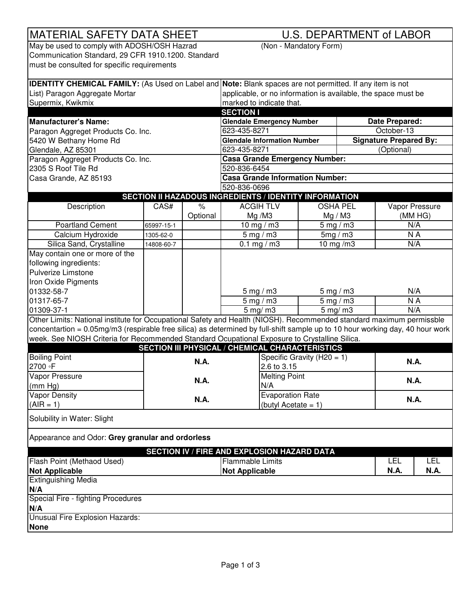| <b>MATERIAL SAFETY DATA SHEET</b>                                                                                             |                        |          | <b>U.S. DEPARTMENT of LABOR</b>                                                                                 |                             |                 |                               |                 |  |
|-------------------------------------------------------------------------------------------------------------------------------|------------------------|----------|-----------------------------------------------------------------------------------------------------------------|-----------------------------|-----------------|-------------------------------|-----------------|--|
| May be used to comply with ADOSH/OSH Hazrad<br>(Non - Mandatory Form)                                                         |                        |          |                                                                                                                 |                             |                 |                               |                 |  |
| Communication Standard, 29 CFR 1910.1200. Standard                                                                            |                        |          |                                                                                                                 |                             |                 |                               |                 |  |
| must be consulted for specific requirements                                                                                   |                        |          |                                                                                                                 |                             |                 |                               |                 |  |
|                                                                                                                               |                        |          |                                                                                                                 |                             |                 |                               |                 |  |
|                                                                                                                               |                        |          | <b>IDENTITY CHEMICAL FAMILY:</b> (As Used on Label and Note: Blank spaces are not permitted. If any item is not |                             |                 |                               |                 |  |
| List) Paragon Aggregate Mortar                                                                                                |                        |          | applicable, or no information is available, the space must be                                                   |                             |                 |                               |                 |  |
| Supermix, Kwikmix                                                                                                             |                        |          | marked to indicate that.                                                                                        |                             |                 |                               |                 |  |
|                                                                                                                               |                        |          | <b>SECTION I</b>                                                                                                |                             |                 |                               |                 |  |
| <b>Manufacturer's Name:</b>                                                                                                   |                        |          | <b>Glendale Emergency Number</b>                                                                                | Date Prepared:              |                 |                               |                 |  |
| Paragon Aggreget Products Co. Inc.                                                                                            |                        |          | 623-435-8271                                                                                                    |                             |                 | October-13                    |                 |  |
| 5420 W Bethany Home Rd                                                                                                        |                        |          | <b>Glendale Information Number</b>                                                                              |                             |                 | <b>Signature Prepared By:</b> |                 |  |
| Glendale, AZ 85301                                                                                                            |                        |          | 623-435-8271                                                                                                    |                             |                 | (Optional)                    |                 |  |
| Paragon Aggreget Products Co. Inc.                                                                                            |                        |          | <b>Casa Grande Emergency Number:</b>                                                                            |                             |                 |                               |                 |  |
| 2305 S Roof Tile Rd                                                                                                           |                        |          | 520-836-6454                                                                                                    |                             |                 |                               |                 |  |
| Casa Grande, AZ 85193                                                                                                         |                        |          | <b>Casa Grande Information Number:</b>                                                                          |                             |                 |                               |                 |  |
|                                                                                                                               |                        |          | 520-836-0696                                                                                                    |                             |                 |                               |                 |  |
|                                                                                                                               |                        |          | <b>SECTION II HAZADOUS INGREDIENTS / IDENTITY INFORMATION</b>                                                   |                             |                 |                               |                 |  |
| Description                                                                                                                   | CAS#                   | $\%$     | <b>ACGIHTLV</b>                                                                                                 |                             | <b>OSHA PEL</b> |                               | Vapor Pressure  |  |
|                                                                                                                               |                        | Optional | Mg/M3                                                                                                           |                             | Mg / M3         |                               | (MMHG)          |  |
| <b>Poartland Cement</b>                                                                                                       | 65997-15-1             |          | 10 mg / $m3$                                                                                                    | $5 \text{ mg} / \text{m}$ 3 |                 | N/A                           |                 |  |
| Calcium Hydroxide                                                                                                             | 1305-62-0              |          | $5 \text{ mg} / \text{m}$ 3                                                                                     | 5mg/m3                      |                 |                               | N A             |  |
| Silica Sand, Crystalline                                                                                                      | 14808-60-7             |          | 0.1 mg / m3                                                                                                     |                             | 10 mg/m3        |                               | N/A             |  |
| May contain one or more of the                                                                                                |                        |          |                                                                                                                 |                             |                 |                               |                 |  |
| following ingredients:                                                                                                        |                        |          |                                                                                                                 |                             |                 |                               |                 |  |
| Pulverize Limstone                                                                                                            |                        |          |                                                                                                                 |                             |                 |                               |                 |  |
| Iron Oxide Pigments                                                                                                           |                        |          |                                                                                                                 |                             |                 |                               |                 |  |
| 01332-58-7                                                                                                                    |                        |          | $5 \text{ mg} / \text{m}$ 3                                                                                     | $5$ mg / m3                 |                 |                               | N/A             |  |
| 01317-65-7                                                                                                                    |                        |          | $5$ mg / m3                                                                                                     | $5$ mg / m3                 |                 |                               | $\overline{NA}$ |  |
| 01309-37-1                                                                                                                    |                        |          | $5 \text{ mg/m}$                                                                                                |                             | $5$ mg/m3       | N/A                           |                 |  |
| Other Limits: National institute for Occupational Safety and Health (NIOSH). Recommended standard maximum permissble          |                        |          |                                                                                                                 |                             |                 |                               |                 |  |
| concentartion = 0.05mg/m3 (respirable free silica) as determined by full-shift sample up to 10 hour working day, 40 hour work |                        |          |                                                                                                                 |                             |                 |                               |                 |  |
| week. See NIOSH Criteria for Recommended Standard Ocupational Exposure to Crystalline Silica.                                 |                        |          |                                                                                                                 |                             |                 |                               |                 |  |
|                                                                                                                               |                        |          | <b>SECTION III PHYSICAL / CHEMICAL CHARACTERISTICS</b>                                                          |                             |                 |                               |                 |  |
| <b>Boiling Point</b>                                                                                                          |                        |          |                                                                                                                 |                             |                 |                               |                 |  |
| 2700 P                                                                                                                        | N.A.                   |          | Specific Gravity (H20 = 1)<br>2.6 to 3.15                                                                       |                             |                 |                               | <b>N.A.</b>     |  |
| Vapor Pressure                                                                                                                |                        |          |                                                                                                                 |                             |                 |                               |                 |  |
| (mm Hg)                                                                                                                       | <b>N.A.</b>            |          | <b>Melting Point</b><br>N/A                                                                                     |                             |                 |                               | N.A.            |  |
| <b>Vapor Density</b>                                                                                                          |                        |          | <b>Evaporation Rate</b>                                                                                         |                             |                 |                               |                 |  |
| $(AIR = 1)$                                                                                                                   | <b>N.A.</b>            |          |                                                                                                                 |                             |                 | <b>N.A.</b>                   |                 |  |
|                                                                                                                               | (butyl Acetate = $1$ ) |          |                                                                                                                 |                             |                 |                               |                 |  |
| Solubility in Water: Slight                                                                                                   |                        |          |                                                                                                                 |                             |                 |                               |                 |  |
| Appearance and Odor: Grey granular and ordorless                                                                              |                        |          |                                                                                                                 |                             |                 |                               |                 |  |
|                                                                                                                               |                        |          |                                                                                                                 |                             |                 |                               |                 |  |
|                                                                                                                               |                        |          | SECTION IV / FIRE AND EXPLOSION HAZARD DATA                                                                     |                             |                 |                               |                 |  |
| Flash Point (Methaod Used)                                                                                                    |                        |          | <b>Flammable Limits</b>                                                                                         |                             |                 | <b>LEL</b>                    | <b>LEL</b>      |  |
| <b>Not Applicable</b>                                                                                                         |                        |          | <b>Not Applicable</b>                                                                                           |                             |                 | <b>N.A.</b>                   | <b>N.A.</b>     |  |
| <b>Extinguishing Media</b>                                                                                                    |                        |          |                                                                                                                 |                             |                 |                               |                 |  |
| N/A                                                                                                                           |                        |          |                                                                                                                 |                             |                 |                               |                 |  |
| Special Fire - fighting Procedures                                                                                            |                        |          |                                                                                                                 |                             |                 |                               |                 |  |
| N/A                                                                                                                           |                        |          |                                                                                                                 |                             |                 |                               |                 |  |
| Unusual Fire Explosion Hazards:                                                                                               |                        |          |                                                                                                                 |                             |                 |                               |                 |  |
| <b>None</b>                                                                                                                   |                        |          |                                                                                                                 |                             |                 |                               |                 |  |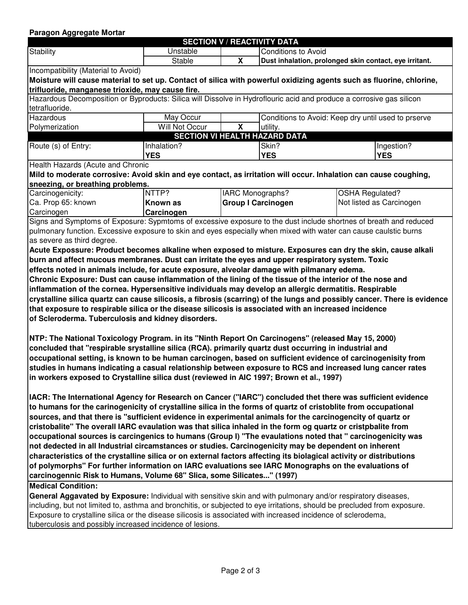## **Paragon Aggregate Mortar**

|                                                                                                               |                                                                                                       |                                                                                                                                 | <b>SECTION V / REACTIVITY DATA</b>                     |                                                                                                                           |  |
|---------------------------------------------------------------------------------------------------------------|-------------------------------------------------------------------------------------------------------|---------------------------------------------------------------------------------------------------------------------------------|--------------------------------------------------------|---------------------------------------------------------------------------------------------------------------------------|--|
| <b>Stability</b>                                                                                              | <b>Unstable</b>                                                                                       | <b>Conditions to Avoid</b>                                                                                                      |                                                        |                                                                                                                           |  |
|                                                                                                               | <b>Stable</b>                                                                                         | X                                                                                                                               | Dust inhalation, prolonged skin contact, eye irritant. |                                                                                                                           |  |
| Incompatibility (Material to Avoid)                                                                           |                                                                                                       |                                                                                                                                 |                                                        |                                                                                                                           |  |
|                                                                                                               |                                                                                                       |                                                                                                                                 |                                                        | Moisture will cause material to set up. Contact of silica with powerful oxidizing agents such as fluorine, chlorine,      |  |
| trifluoride, manganese trioxide, may cause fire.                                                              |                                                                                                       |                                                                                                                                 |                                                        |                                                                                                                           |  |
|                                                                                                               |                                                                                                       |                                                                                                                                 |                                                        | Hazardous Decomposition or Byproducts: Silica will Dissolve in Hydroflouric acid and produce a corrosive gas silicon      |  |
| tetrafluoride.                                                                                                |                                                                                                       |                                                                                                                                 |                                                        |                                                                                                                           |  |
| Hazardous                                                                                                     | May Occur                                                                                             |                                                                                                                                 |                                                        | Conditions to Avoid: Keep dry until used to prserve                                                                       |  |
| Polymerization                                                                                                | Will Not Occur                                                                                        | $\overline{\mathbf{X}}$                                                                                                         | utility.                                               |                                                                                                                           |  |
|                                                                                                               |                                                                                                       |                                                                                                                                 | <b>SECTION VI HEALTH HAZARD DATA</b><br>Skin?          |                                                                                                                           |  |
| Route (s) of Entry:                                                                                           |                                                                                                       | Inhalation?                                                                                                                     |                                                        | Ingestion?                                                                                                                |  |
|                                                                                                               |                                                                                                       | <b>YES</b>                                                                                                                      |                                                        | <b>YES</b>                                                                                                                |  |
| Health Hazards (Acute and Chronic                                                                             |                                                                                                       |                                                                                                                                 |                                                        |                                                                                                                           |  |
|                                                                                                               |                                                                                                       |                                                                                                                                 |                                                        | Mild to moderate corrosive: Avoid skin and eye contact, as irritation will occur. Inhalation can cause coughing,          |  |
| sneezing, or breathing problems.<br>Carcinogenicity:                                                          | NTTP?                                                                                                 |                                                                                                                                 | IARC Monographs?                                       | <b>OSHA Regulated?</b>                                                                                                    |  |
| Ca. Prop 65: known                                                                                            | <b>Known as</b>                                                                                       |                                                                                                                                 | <b>Group I Carcinogen</b>                              | Not listed as Carcinogen                                                                                                  |  |
| Carcinogen                                                                                                    |                                                                                                       |                                                                                                                                 |                                                        |                                                                                                                           |  |
|                                                                                                               |                                                                                                       | Carcinogen<br>Signs and Symptoms of Exposure: Sypmtoms of excessive exposure to the dust include shortnes of breath and reduced |                                                        |                                                                                                                           |  |
|                                                                                                               |                                                                                                       |                                                                                                                                 |                                                        |                                                                                                                           |  |
|                                                                                                               |                                                                                                       |                                                                                                                                 |                                                        | pulmonary function. Excessive exposure to skin and eyes especially when mixed with water can cause caulstic burns         |  |
| as severe as third degree.                                                                                    |                                                                                                       |                                                                                                                                 |                                                        |                                                                                                                           |  |
|                                                                                                               |                                                                                                       |                                                                                                                                 |                                                        | Acute Expossure: Product becomes alkaline when exposed to misture. Exposures can dry the skin, cause alkali               |  |
|                                                                                                               | burn and affect mucous membranes. Dust can irritate the eyes and upper respiratory system. Toxic      |                                                                                                                                 |                                                        |                                                                                                                           |  |
| effects noted in animals include, for acute exposure, alveolar damage with pilmanary edema.                   |                                                                                                       |                                                                                                                                 |                                                        |                                                                                                                           |  |
|                                                                                                               |                                                                                                       |                                                                                                                                 |                                                        |                                                                                                                           |  |
|                                                                                                               |                                                                                                       |                                                                                                                                 |                                                        | Chronic Exposure: Dust can cause inflammation of the lining of the tissue of the interior of the nose and                 |  |
|                                                                                                               | inflammation of the cornea. Hypersensitive individuals may develop an allergic dermatitis. Respirable |                                                                                                                                 |                                                        |                                                                                                                           |  |
|                                                                                                               |                                                                                                       |                                                                                                                                 |                                                        | crystalline silica quartz can cause silicosis, a fibrosis (scarring) of the lungs and possibly cancer. There is evidence  |  |
|                                                                                                               | that exposure to respirable silica or the disease silicosis is associated with an increased incidence |                                                                                                                                 |                                                        |                                                                                                                           |  |
|                                                                                                               |                                                                                                       |                                                                                                                                 |                                                        |                                                                                                                           |  |
|                                                                                                               | of Scleroderma. Tuberculosis and kidney disorders.                                                    |                                                                                                                                 |                                                        |                                                                                                                           |  |
|                                                                                                               |                                                                                                       |                                                                                                                                 |                                                        |                                                                                                                           |  |
| NTP: The National Toxicology Program. in its "Ninth Report On Carcinogens" (released May 15, 2000)            |                                                                                                       |                                                                                                                                 |                                                        |                                                                                                                           |  |
| concluded that "respirable srystalline silica (RCA). primarily quartz dust occurring in industrial and        |                                                                                                       |                                                                                                                                 |                                                        |                                                                                                                           |  |
|                                                                                                               |                                                                                                       |                                                                                                                                 |                                                        | occupational setting, is known to be human carcinogen, based on sufficient evidence of carcinogenisity from               |  |
|                                                                                                               |                                                                                                       |                                                                                                                                 |                                                        | studies in humans indicating a casual relationship between exposure to RCS and increased lung cancer rates                |  |
| in workers exposed to Crystalline silica dust (reviewed in AIC 1997; Brown et al., 1997)                      |                                                                                                       |                                                                                                                                 |                                                        |                                                                                                                           |  |
|                                                                                                               |                                                                                                       |                                                                                                                                 |                                                        |                                                                                                                           |  |
|                                                                                                               |                                                                                                       |                                                                                                                                 |                                                        | IACR: The International Agency for Research on Cancer ("IARC") concluded thet there was sufficient evidence               |  |
|                                                                                                               |                                                                                                       |                                                                                                                                 |                                                        | to humans for the carinogenicity of crystalline silica in the forms of quartz of cristoblite from occupational            |  |
|                                                                                                               |                                                                                                       |                                                                                                                                 |                                                        | sources, and that there is "sufficient evidence in experimental animals for the carcinogencity of quartz or               |  |
|                                                                                                               |                                                                                                       |                                                                                                                                 |                                                        | cristobalite" The overall IARC evaulation was that silica inhaled in the form og quartz or cristpbalite from              |  |
|                                                                                                               |                                                                                                       |                                                                                                                                 |                                                        | occupational sources is carcingenics to humans (Group I) "The evaulations noted that " carcinogenicity was                |  |
|                                                                                                               | not dedected in all Industrial circamstances or studies. Carcinogenicity may be dependent on inherent |                                                                                                                                 |                                                        |                                                                                                                           |  |
|                                                                                                               |                                                                                                       |                                                                                                                                 |                                                        | characteristics of the crystalline silica or on external factors affecting its biolagical activity or distributions       |  |
|                                                                                                               |                                                                                                       |                                                                                                                                 |                                                        |                                                                                                                           |  |
|                                                                                                               |                                                                                                       |                                                                                                                                 |                                                        | of polymorphs" For further information on IARC evaluations see IARC Monographs on the evaluations of                      |  |
|                                                                                                               | carcinogennic Risk to Humans, Volume 68" Slica, some Silicates" (1997)                                |                                                                                                                                 |                                                        |                                                                                                                           |  |
| <b>Medical Condition:</b>                                                                                     |                                                                                                       |                                                                                                                                 |                                                        |                                                                                                                           |  |
|                                                                                                               |                                                                                                       |                                                                                                                                 |                                                        | General Aggavated by Exposure: Individual with sensitive skin and with pulmonary and/or respiratory diseases,             |  |
|                                                                                                               |                                                                                                       |                                                                                                                                 |                                                        | including, but not limited to, asthma and bronchitis, or subjected to eye irritations, should be precluded from exposure. |  |
| Exposure to crystalline silica or the disease silicosis is associated with increased incidence of sclerodema, |                                                                                                       |                                                                                                                                 |                                                        |                                                                                                                           |  |

tuberculosis and possibly increased incidence of lesions.